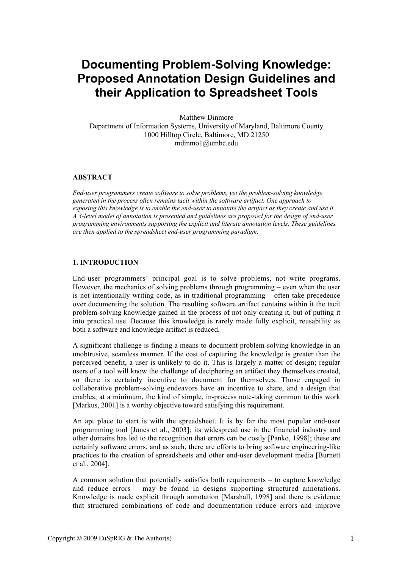# **Documenting Problem-Solving Knowledge: Proposed Annotation Design Guidelines and their Application to Spreadsheet Tools**

Matthew Dinmore Department of Information Systems, University of Maryland, Baltimore County 1000 Hilltop Circle, Baltimore, MD 21250 mdinmo1@umbc.edu

## ABSTRACT

*End-user programmers create software to solve problems, yet the problem-solving knowledge generated in the process often remains tacit within the software artifact. One approach to exposing this knowledge is to enable the end-user to annotate the artifact as they create and use it. A 3-level model of annotation is presented and guidelines are proposed for the design of end-user programming environments supporting the explicit and literate annotation levels. These guidelines are then applied to the spreadsheet end-user programming paradigm.*

## 1. INTRODUCTION

End-user programmers' principal goal is to solve problems, not write programs. However, the mechanics of solving problems through programming – even when the user is not intentionally writing code, as in traditional programming – often take precedence over documenting the solution. The resulting software artifact contains within it the tacit problem-solving knowledge gained in the process of not only creating it, but of putting it into practical use. Because this knowledge is rarely made fully explicit, reusability as both a software and knowledge artifact is reduced.

A significant challenge is finding a means to document problem-solving knowledge in an unobtrusive, seamless manner. If the cost of capturing the knowledge is greater than the perceived benefit, a user is unlikely to do it. This is largely a matter of design; regular users of a tool will know the challenge of deciphering an artifact they themselves created, so there is certainly incentive to document for themselves. Those engaged in collaborative problem-solving endeavors have an incentive to share, and a design that enables, at a minimum, the kind of simple, in-process note-taking common to this work [Markus, 2001] is a worthy objective toward satisfying this requirement.

An apt place to start is with the spreadsheet. It is by far the most popular end-user programming tool [Jones et al., 2003]; its widespread use in the financial industry and other domains has led to the recognition that errors can be costly [Panko, 1998]; these are certainly software errors, and as such, there are efforts to bring software engineering-like practices to the creation of spreadsheets and other end-user development media [Burnett et al., 2004].

A common solution that potentially satisfies both requirements – to capture knowledge and reduce errors – may be found in designs supporting structured annotations. Knowledge is made explicit through annotation [Marshall, 1998] and there is evidence that structured combinations of code and documentation reduce errors and improve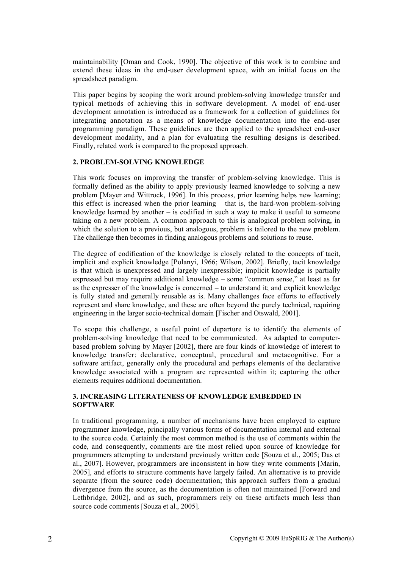maintainability [Oman and Cook, 1990]. The objective of this work is to combine and extend these ideas in the end-user development space, with an initial focus on the spreadsheet paradigm.

This paper begins by scoping the work around problem-solving knowledge transfer and typical methods of achieving this in software development. A model of end-user development annotation is introduced as a framework for a collection of guidelines for integrating annotation as a means of knowledge documentation into the end-user programming paradigm. These guidelines are then applied to the spreadsheet end-user development modality, and a plan for evaluating the resulting designs is described. Finally, related work is compared to the proposed approach.

#### 2. PROBLEM-SOLVING KNOWLEDGE

This work focuses on improving the transfer of problem-solving knowledge. This is formally defined as the ability to apply previously learned knowledge to solving a new problem [Mayer and Wittrock, 1996]. In this process, prior learning helps new learning; this effect is increased when the prior learning – that is, the hard-won problem-solving knowledge learned by another – is codified in such a way to make it useful to someone taking on a new problem. A common approach to this is analogical problem solving, in which the solution to a previous, but analogous, problem is tailored to the new problem. The challenge then becomes in finding analogous problems and solutions to reuse.

The degree of codification of the knowledge is closely related to the concepts of tacit, implicit and explicit knowledge [Polanyi, 1966; Wilson, 2002]. Briefly, tacit knowledge is that which is unexpressed and largely inexpressible; implicit knowledge is partially expressed but may require additional knowledge – some "common sense," at least as far as the expresser of the knowledge is concerned – to understand it; and explicit knowledge is fully stated and generally reusable as is. Many challenges face efforts to effectively represent and share knowledge, and these are often beyond the purely technical, requiring engineering in the larger socio-technical domain [Fischer and Otswald, 2001].

To scope this challenge, a useful point of departure is to identify the elements of problem-solving knowledge that need to be communicated. As adapted to computerbased problem solving by Mayer [2002], there are four kinds of knowledge of interest to knowledge transfer: declarative, conceptual, procedural and metacognitive. For a software artifact, generally only the procedural and perhaps elements of the declarative knowledge associated with a program are represented within it; capturing the other elements requires additional documentation.

## 3. INCREASING LITERATENESS OF KNOWLEDGE EMBEDDED IN **SOFTWARE**

In traditional programming, a number of mechanisms have been employed to capture programmer knowledge, principally various forms of documentation internal and external to the source code. Certainly the most common method is the use of comments within the code, and consequently, comments are the most relied upon source of knowledge for programmers attempting to understand previously written code [Souza et al., 2005; Das et al., 2007]. However, programmers are inconsistent in how they write comments [Marin, 2005], and efforts to structure comments have largely failed. An alternative is to provide separate (from the source code) documentation; this approach suffers from a gradual divergence from the source, as the documentation is often not maintained [Forward and Lethbridge, 2002], and as such, programmers rely on these artifacts much less than source code comments [Souza et al., 2005].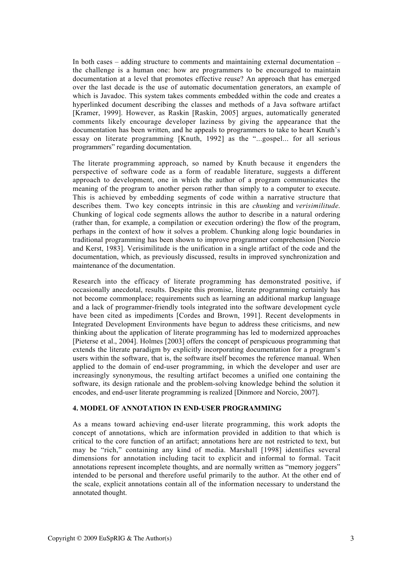In both cases – adding structure to comments and maintaining external documentation – the challenge is a human one: how are programmers to be encouraged to maintain documentation at a level that promotes effective reuse? An approach that has emerged over the last decade is the use of automatic documentation generators, an example of which is Javadoc. This system takes comments embedded within the code and creates a hyperlinked document describing the classes and methods of a Java software artifact [Kramer, 1999]. However, as Raskin [Raskin, 2005] argues, automatically generated comments likely encourage developer laziness by giving the appearance that the documentation has been written, and he appeals to programmers to take to heart Knuth's essay on literate programming [Knuth, 1992] as the "...gospel... for all serious programmers" regarding documentation.

The literate programming approach, so named by Knuth because it engenders the perspective of software code as a form of readable literature, suggests a different approach to development, one in which the author of a program communicates the meaning of the program to another person rather than simply to a computer to execute. This is achieved by embedding segments of code within a narrative structure that describes them. Two key concepts intrinsic in this are *chunking* and *verisimilitude*. Chunking of logical code segments allows the author to describe in a natural ordering (rather than, for example, a compilation or execution ordering) the flow of the program, perhaps in the context of how it solves a problem. Chunking along logic boundaries in traditional programming has been shown to improve programmer comprehension [Norcio and Kerst, 1983]. Verisimilitude is the unification in a single artifact of the code and the documentation, which, as previously discussed, results in improved synchronization and maintenance of the documentation.

Research into the efficacy of literate programming has demonstrated positive, if occasionally anecdotal, results. Despite this promise, literate programming certainly has not become commonplace; requirements such as learning an additional markup language and a lack of programmer-friendly tools integrated into the software development cycle have been cited as impediments [Cordes and Brown, 1991]. Recent developments in Integrated Development Environments have begun to address these criticisms, and new thinking about the application of literate programming has led to modernized approaches [Pieterse et al., 2004]. Holmes [2003] offers the concept of perspicuous programming that extends the literate paradigm by explicitly incorporating documentation for a program's users within the software, that is, the software itself becomes the reference manual. When applied to the domain of end-user programming, in which the developer and user are increasingly synonymous, the resulting artifact becomes a unified one containing the software, its design rationale and the problem-solving knowledge behind the solution it encodes, and end-user literate programming is realized [Dinmore and Norcio, 2007].

#### 4. MODEL OF ANNOTATION IN END-USER PROGRAMMING

As a means toward achieving end-user literate programming, this work adopts the concept of annotations, which are information provided in addition to that which is critical to the core function of an artifact; annotations here are not restricted to text, but may be "rich," containing any kind of media. Marshall [1998] identifies several dimensions for annotation including tacit to explicit and informal to formal. Tacit annotations represent incomplete thoughts, and are normally written as "memory joggers" intended to be personal and therefore useful primarily to the author. At the other end of the scale, explicit annotations contain all of the information necessary to understand the annotated thought.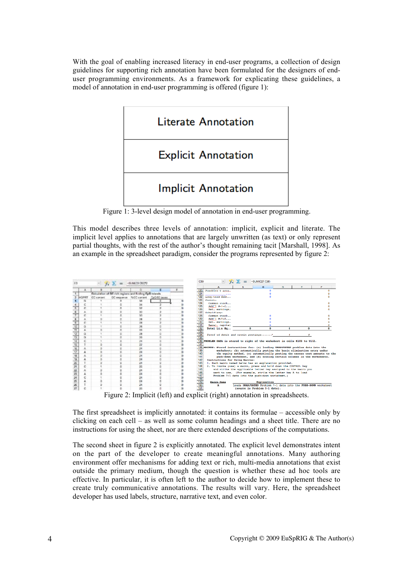With the goal of enabling increased literacy in end-user programs, a collection of design guidelines for supporting rich annotation have been formulated for the designers of enduser programming environments. As a framework for explicating these guidelines, a model of annotation in end-user programming is offered (figure 1):



Figure 1: 3-level design model of annotation in end-user programming.

This model describes three levels of annotation: implicit, explicit and literate. The implicit level applies to annotations that are largely unwritten (as text) or only represent partial thoughts, with the rest of the author's thought remaining tacit [Marshall, 1998]. As an example in the spreadsheet paradigm, consider the programs represented by figure 2:



Figure 2: Implicit (left) and explicit (right) annotation in spreadsheets.

The first spreadsheet is implicitly annotated: it contains its formulae – accessible only by clicking on each cell – as well as some column headings and a sheet title. There are no instructions for using the sheet, nor are there extended descriptions of the computations.

The second sheet in figure 2 is explicitly annotated. The explicit level demonstrates intent on the part of the developer to create meaningful annotations. Many authoring environment offer mechanisms for adding text or rich, multi-media annotations that exist outside the primary medium, though the question is whether these ad hoc tools are effective. In particular, it is often left to the author to decide how to implement these to create truly communicative annotations. The results will vary. Here, the spreadsheet developer has used labels, structure, narrative text, and even color.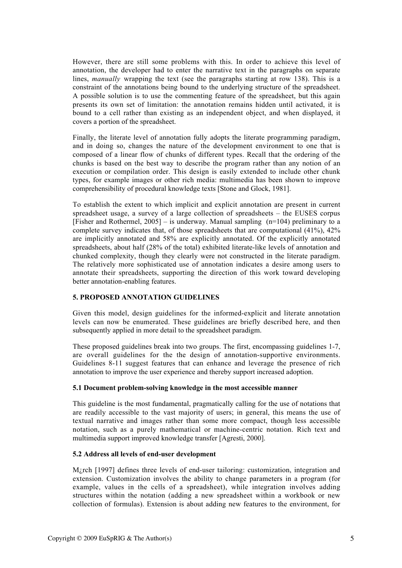However, there are still some problems with this. In order to achieve this level of annotation, the developer had to enter the narrative text in the paragraphs on separate lines, *manually* wrapping the text (see the paragraphs starting at row 138). This is a constraint of the annotations being bound to the underlying structure of the spreadsheet. A possible solution is to use the commenting feature of the spreadsheet, but this again presents its own set of limitation: the annotation remains hidden until activated, it is bound to a cell rather than existing as an independent object, and when displayed, it covers a portion of the spreadsheet.

Finally, the literate level of annotation fully adopts the literate programming paradigm, and in doing so, changes the nature of the development environment to one that is composed of a linear flow of chunks of different types. Recall that the ordering of the chunks is based on the best way to describe the program rather than any notion of an execution or compilation order. This design is easily extended to include other chunk types, for example images or other rich media: multimedia has been shown to improve comprehensibility of procedural knowledge texts [Stone and Glock, 1981].

To establish the extent to which implicit and explicit annotation are present in current spreadsheet usage, a survey of a large collection of spreadsheets – the EUSES corpus [Fisher and Rothermel,  $2005$ ] – is underway. Manual sampling (n=104) preliminary to a complete survey indicates that, of those spreadsheets that are computational (41%), 42% are implicitly annotated and 58% are explicitly annotated. Of the explicitly annotated spreadsheets, about half (28% of the total) exhibited literate-like levels of annotation and chunked complexity, though they clearly were not constructed in the literate paradigm. The relatively more sophisticated use of annotation indicates a desire among users to annotate their spreadsheets, supporting the direction of this work toward developing better annotation-enabling features.

#### 5. PROPOSED ANNOTATION GUIDELINES

Given this model, design guidelines for the informed-explicit and literate annotation levels can now be enumerated. These guidelines are briefly described here, and then subsequently applied in more detail to the spreadsheet paradigm.

These proposed guidelines break into two groups. The first, encompassing guidelines 1-7, are overall guidelines for the the design of annotation-supportive environments. Guidelines 8-11 suggest features that can enhance and leverage the presence of rich annotation to improve the user experience and thereby support increased adoption.

#### 5.1 Document problem-solving knowledge in the most accessible manner

This guideline is the most fundamental, pragmatically calling for the use of notations that are readily accessible to the vast majority of users; in general, this means the use of textual narrative and images rather than some more compact, though less accessible notation, such as a purely mathematical or machine-centric notation. Rich text and multimedia support improved knowledge transfer [Agresti, 2000].

## 5.2 Address all levels of end-user development

M<sub>i</sub>rch [1997] defines three levels of end-user tailoring: customization, integration and extension. Customization involves the ability to change parameters in a program (for example, values in the cells of a spreadsheet), while integration involves adding structures within the notation (adding a new spreadsheet within a workbook or new collection of formulas). Extension is about adding new features to the environment, for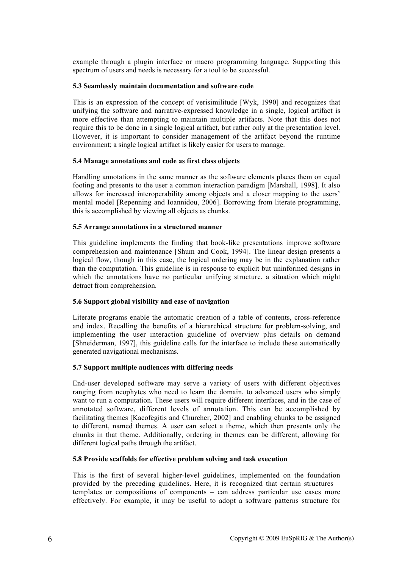example through a plugin interface or macro programming language. Supporting this spectrum of users and needs is necessary for a tool to be successful.

## 5.3 Seamlessly maintain documentation and software code

This is an expression of the concept of verisimilitude [Wyk, 1990] and recognizes that unifying the software and narrative-expressed knowledge in a single, logical artifact is more effective than attempting to maintain multiple artifacts. Note that this does not require this to be done in a single logical artifact, but rather only at the presentation level. However, it is important to consider management of the artifact beyond the runtime environment; a single logical artifact is likely easier for users to manage.

## 5.4 Manage annotations and code as first class objects

Handling annotations in the same manner as the software elements places them on equal footing and presents to the user a common interaction paradigm [Marshall, 1998]. It also allows for increased interoperability among objects and a closer mapping to the users' mental model [Repenning and Ioannidou, 2006]. Borrowing from literate programming, this is accomplished by viewing all objects as chunks.

## 5.5 Arrange annotations in a structured manner

This guideline implements the finding that book-like presentations improve software comprehension and maintenance [Shum and Cook, 1994]. The linear design presents a logical flow, though in this case, the logical ordering may be in the explanation rather than the computation. This guideline is in response to explicit but uninformed designs in which the annotations have no particular unifying structure, a situation which might detract from comprehension.

#### 5.6 Support global visibility and ease of navigation

Literate programs enable the automatic creation of a table of contents, cross-reference and index. Recalling the benefits of a hierarchical structure for problem-solving, and implementing the user interaction guideline of overview plus details on demand [Shneiderman, 1997], this guideline calls for the interface to include these automatically generated navigational mechanisms.

#### 5.7 Support multiple audiences with differing needs

End-user developed software may serve a variety of users with different objectives ranging from neophytes who need to learn the domain, to advanced users who simply want to run a computation. These users will require different interfaces, and in the case of annotated software, different levels of annotation. This can be accomplished by facilitating themes [Kacofegitis and Churcher, 2002] and enabling chunks to be assigned to different, named themes. A user can select a theme, which then presents only the chunks in that theme. Additionally, ordering in themes can be different, allowing for different logical paths through the artifact.

#### 5.8 Provide scaffolds for effective problem solving and task execution

This is the first of several higher-level guidelines, implemented on the foundation provided by the preceding guidelines. Here, it is recognized that certain structures – templates or compositions of components – can address particular use cases more effectively. For example, it may be useful to adopt a software patterns structure for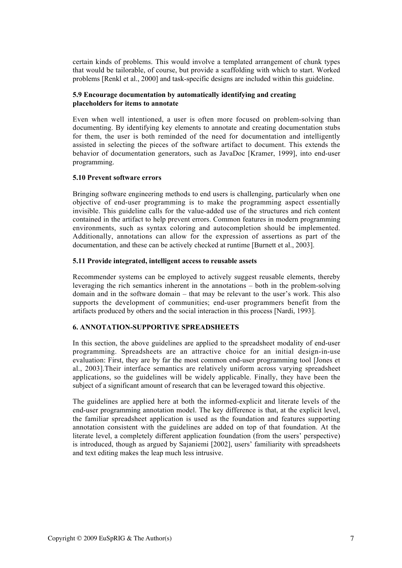certain kinds of problems. This would involve a templated arrangement of chunk types that would be tailorable, of course, but provide a scaffolding with which to start. Worked problems [Renkl et al., 2000] and task-specific designs are included within this guideline.

#### 5.9 Encourage documentation by automatically identifying and creating placeholders for items to annotate

Even when well intentioned, a user is often more focused on problem-solving than documenting. By identifying key elements to annotate and creating documentation stubs for them, the user is both reminded of the need for documentation and intelligently assisted in selecting the pieces of the software artifact to document. This extends the behavior of documentation generators, such as JavaDoc [Kramer, 1999], into end-user programming.

#### 5.10 Prevent software errors

Bringing software engineering methods to end users is challenging, particularly when one objective of end-user programming is to make the programming aspect essentially invisible. This guideline calls for the value-added use of the structures and rich content contained in the artifact to help prevent errors. Common features in modern programming environments, such as syntax coloring and autocompletion should be implemented. Additionally, annotations can allow for the expression of assertions as part of the documentation, and these can be actively checked at runtime [Burnett et al., 2003].

#### 5.11 Provide integrated, intelligent access to reusable assets

Recommender systems can be employed to actively suggest reusable elements, thereby leveraging the rich semantics inherent in the annotations – both in the problem-solving domain and in the software domain – that may be relevant to the user's work. This also supports the development of communities; end-user programmers benefit from the artifacts produced by others and the social interaction in this process [Nardi, 1993].

#### 6. ANNOTATION-SUPPORTIVE SPREADSHEETS

In this section, the above guidelines are applied to the spreadsheet modality of end-user programming. Spreadsheets are an attractive choice for an initial design-in-use evaluation: First, they are by far the most common end-user programming tool [Jones et al., 2003].Their interface semantics are relatively uniform across varying spreadsheet applications, so the guidelines will be widely applicable. Finally, they have been the subject of a significant amount of research that can be leveraged toward this objective.

The guidelines are applied here at both the informed-explicit and literate levels of the end-user programming annotation model. The key difference is that, at the explicit level, the familiar spreadsheet application is used as the foundation and features supporting annotation consistent with the guidelines are added on top of that foundation. At the literate level, a completely different application foundation (from the users' perspective) is introduced, though as argued by Sajaniemi [2002], users' familiarity with spreadsheets and text editing makes the leap much less intrusive.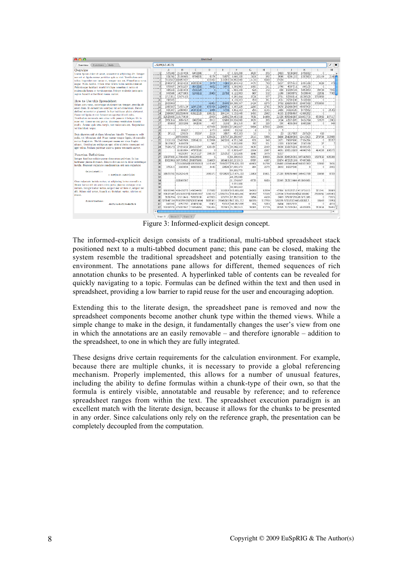| AA                                                                                                                             |                            |              |                              |                                   | <b>Untitled</b> |                      |                   |        |        |        |                |                              |                 |               |
|--------------------------------------------------------------------------------------------------------------------------------|----------------------------|--------------|------------------------------|-----------------------------------|-----------------|----------------------|-------------------|--------|--------|--------|----------------|------------------------------|-----------------|---------------|
| Functions / Help<br>Overview                                                                                                   | $=$ SUM(A1:A17)            |              |                              |                                   |                 |                      |                   |        |        |        |                |                              |                 |               |
| Overview                                                                                                                       |                            | $\mathbb{A}$ | В.                           |                                   | $\rightarrow$   | ۴                    | F.                | G.     | н      |        | $\overline{1}$ | к                            |                 | M             |
| Lorem insum dolor sit amet, consectetur adipiscing elit. Integer-                                                              |                            | 575148       | 21104458                     | 6440086                           | Ō.              |                      | 0 2.326,200       | 1826   | 655    | 2483   | 5638690        | 1456082                      | O               |               |
| nce est ut ligula cursus perttitor quis ac nisl. Vestibulum orci-                                                              |                            |              | 831741, 25190465             | 9794035                           | 9376            | 71675 73.646.320     |                   | 3104   | 692    | 3996   | 9291103        | 1787983                      | 145149          | 2148          |
| tellus, imperdict nec luctus et, tempor non est. Phasellus ac urna.                                                            |                            |              | 7219507 18895708             |                                   | 103292          | 118293 38.652.000    |                   | 1133   | 6583   | 17821  |                |                              |                 |               |
| augue. Nulla facilisi. Etiam vitae kerem in leo iaculis cuismod.                                                               |                            | 2046676      | 36324232                     | 16890684                          | 3676            |                      | 4316 22.104.442   | 4475   | 783    | 5257   | 9775415        | 1394188                      | 3028            | 470           |
| Pellentesque habitant morbi tristique senectus et netes et                                                                     |                            |              | 678637 24702257              | 6843282                           | 4852            |                      | 8475 5.398.983    | 1565   | 2Ū.    | 1796   | 4007711        | 346135                       |                 |               |
| malestatda fames ac turpis egestas. Integer molestic justo quis                                                                |                            |              | 486108 21883936              | 7830326                           | -01             |                      | 0; 1.968.348      | 626    | 242    | 858    | 15399404       | 5963893                      | 95704           | 7941          |
| sapien blandit a tincidunt massa anctor.                                                                                       |                            |              | 848586 14275903              | 5249111                           | 19868           | 21718, 8.122.933     |                   | $-667$ | 532    | 1199   | 33403971       | 5639644                      | 22031           | 7765          |
|                                                                                                                                |                            |              | 1713351, 53679183            |                                   |                 |                      | 6.260.144         | 1724   | 577    | 2701   |                | 92350814; 18239528           | 3783959         |               |
| How to Use this Spreadsheet                                                                                                    | 10                         | 790555       |                              |                                   |                 |                      | 4.139.223         | 700    | 301    | 1001   | 35790136       | 5428064                      |                 |               |
| Etiam arcu nunc, seclerisque at elementum tempor, gravida sit                                                                  | щ                          | 2503906      |                              |                                   | 41891           | 35445, 10.399.367    |                   | 2424   | 1278   |        |                | 3702 128150950 23567592      | 3783959         |               |
| amet diam. In elementum volutpat mi sed elementum. Dence                                                                       |                            | 1880587      |                              | 71657119 32971560                 | 875756          | 249571, 5.367.226    |                   | 2286   | 2792   |        |                | 5078 202486395 49767930      |                 |               |
| deifend consectetur placerat. In hac habitasse platea dictumst.                                                                |                            |              | 905397; 12045407; 20373338   |                                   | 1860            |                      | 4708 3.802.333    | 295    | 1105   |        | 400 34418420   | 9778592                      | C.              | 16162         |
| Fusce vel ligula et nisi fermentum egestas id sed enim.                                                                        | 14                         |              | 2384067 102215649            | 63922228                          | 196232          | 194134               | 5.158.440         | 1493   | 2562   |        |                | 4155 133786467 41960202      |                 |               |
| Vestibulum commodo sem vitae velit pospere tristique. Ut in                                                                    |                            |              | 12025650 310175619           |                                   | 18939           |                      | 21692 59.463.538  | 7031   | 14498  |        |                | 21529 685948897 124503730    |                 | 650962 157117 |
| nunc est. Donce se erat purus. Maccenas vestibulum blandit.                                                                    | 16                         | 2951314      | 1994343                      | 2492594                           | 8912            |                      | 12469 10.824.000  | 1029   | 805    | 1834   | 42171895       | 9424764                      | 50573           | 12983         |
| mollis. Aenean quis urns turpis, nec malesnada est. Suspendisse                                                                | 17<br>$- - -$              | 90696        | 2233208                      | 842590                            | 497             |                      | 2192 261.310      | ëō     | 220    | 300    |                | 4801005 1565216              | e               | 949           |
| vel tincidunt neque.                                                                                                           | īš<br>$- - -$              |              |                              |                                   | 457999          | 00305 57.843.657     |                   | 5984   | 17856  | 23840  |                |                              |                 |               |
|                                                                                                                                | īğ<br>$\sim$ $ \sim$       |              | 80227                        |                                   | 1373            | 1009                 | 33.322            | 21     | 31     | κ      |                |                              |                 |               |
| Duis pharetra nisi at diam bibendum blandit. Vivamus cu velit                                                                  | $\overline{20}$            | 37112        | 129535                       | 78357                             | 2210            | 3887 :               | 457.333           | 18     | s.     | $23 -$ | 1117927        | 257520                       | 418             |               |
| nulla, vel bibendum nisl. Nune cursus tempor ligula, id convallis                                                              | $\overline{21}$            |              | 197035000                    |                                   | 125021          | 135747 15.250.657    |                   | 2510   | 5999   |        |                | 8408 264286000 \$2415923     | 278736          | 353980        |
| metus fouglat en. Morbi consequat massa nee risus fouglat                                                                      | $\overline{\mathbf{z}}$    |              | 1319108, 23467665, 22684118  |                                   | 113996          | 142339, 4.551.248    |                   | 931    | 940    | 1871   |                | 75697660, 17104294           | c               | 35357         |
| aliquet. Vestibulum sed insum exet afbh ultricies consequat vel-                                                               | $\overline{2}$             | 3117902      | 1486378                      |                                   | 563             |                      | 1, 9.832,000      | 702    | 531    | 1323   | 13100349       | 2747158                      | 27              |               |
| eget tellus. Nullam pulvinar dolor a ipsum venenatis auctor.                                                                   | $\overline{24}$            | 7524176      |                              | 27491212 204131947                | 126139          |                      | 5171 39.542.333   | 4139   | 2469   |        | 6608 132172221 | 30509153                     | $\Omega$        |               |
|                                                                                                                                | 驾荡<br>$- -$                |              |                              | 81381984 47575528                 | 0               |                      | 0 8.909.457       | 2304   | 2587   |        |                | 4891 169515820 44940745      | 414356 106375   |               |
| <b>Function Definitions</b>                                                                                                    | $-1$                       |              |                              | 6328307 34171127                  | 306137          | 225252 7.320,800     |                   | 1841   | 3475   | 5317   |                |                              |                 |               |
|                                                                                                                                | 27                         |              | 33837000 417004000 318226000 |                                   | $^{\circ}$      |                      | 0 60.296.633      | 6200   | 19600  |        |                | 25800 826620033 197243503    | 1597132         | 635286        |
| Integer faucibus sodales purus elementum pulyinar. In hac-<br>habitasse platea dictumst. Mauris dictum mi ea dolor sceleriscue | 28<br>$\sim$ $ \sim$       |              | 830296813071595621208075665  |                                   | 334807          | 365413 82.213.913    |                   | 8787   | 4387   |        |                | 13174 472325169, 97497065    |                 |               |
| inculis. Praescat vulpotate condimentum orei non vulputate.                                                                    | $^{20}$                    |              |                              | 17534985491120238333              | 1410166         | 7195227 275.828.333  |                   | 41603  | 84796  |        |                | 126489 4035684646958301302   | 12852           | 3634          |
|                                                                                                                                | 30                         | 375214       |                              | 3565856 18830433                  | 4443            |                      | 22528 67,090,173  | 264    | 2579   |        | 2843 15227540  | O                            | c               | 2002          |
| CalculateAll:                                                                                                                  | 31                         |              |                              |                                   |                 |                      | 19.261.779        |        |        |        |                |                              |                 |               |
| $= 500(0101)(02001)/20$                                                                                                        | 32                         |              | 38679751 552624145           |                                   | 1000371         | 5072629 127.474.333  |                   | 11808  | 15431  |        |                | 27239 805050446 356403788    | 15656           | 8700          |
|                                                                                                                                | 33                         |              |                              |                                   |                 |                      | 49,235,000        |        |        |        |                |                              |                 |               |
| Cras vulputate lacinia metus, ut adipiscing lectus convallis a.                                                                | $\cdots$<br>$\frac{1}{34}$ |              | 331565367                    |                                   |                 |                      | 31.374.667        | 6733   | 6515   |        |                | 13349 212115444 45 849,663   | O               |               |
| Donce luctus alsi sit amet calm porta placerat volutpat eros                                                                   | $- - -$<br>ü               |              |                              |                                   |                 |                      | 3.931,000         |        |        |        |                |                              |                 |               |
| rutrum. Integer tortor lectus, aliquet nec ultrices et, aliquet vel                                                            | $-1$<br>26                 |              |                              |                                   |                 |                      | 08.961.882        |        |        |        |                |                              |                 |               |
| elit. Etiam nisl tortor, blandit on tineidunt varius, ultrices ut.                                                             | ž,                         |              | 16015941 431428273 146004455 |                                   | 217882          | 310359 003.608.859   |                   | 34263  | 12894  |        |                | 47156 167620712 47.670.615   | 321041          | 28889         |
| <b>ITTANSA</b>                                                                                                                 | 38                         |              |                              | 99137149 (18531053751798551507)   | 2200197         | 12551761 378 483 840 |                   | 45959  | 77005  |        |                | 122064 3754658460827 929 987 | 7535950 1489065 |               |
|                                                                                                                                | 30                         |              | 3638294; 32317443; 57679108  |                                   | 422003          | 370791 -12.157.939   |                   | 2854   | 4539   |        |                | 7493 275287705 65 571.386    | o               | 73925         |
| <b>SummarizeSone:</b>                                                                                                          |                            |              |                              | 40 123647184 20507693352500816604 | 3085361         | 15645081 607.105.112 |                   | 68036  | 117293 |        |                | 185326 57053301441.603397.2. | 35643           | 15908         |
| -B101/4+R102/6+B103/8                                                                                                          | 41                         |              | 845160 8257250 42415084      |                                   | 10007           |                      | 50743 466 052,055 | 504    | 5810   |        | 6404 35552133  | $\alpha$                     | c               | 4510          |
|                                                                                                                                | $42^{12}$                  |              |                              | 13438170 378302867 125554863      | 204.654         | 292610 74,780,543    |                   | 26981  | 11774  |        |                | 38755 157306954 46509895     | 319834          | $28655 -$     |
|                                                                                                                                |                            |              |                              |                                   |                 |                      |                   |        |        |        |                |                              |                 | h.            |
|                                                                                                                                |                            |              |                              |                                   |                 |                      |                   |        |        |        |                |                              |                 |               |

Figure 3: Informed-explicit design concept.

The informed-explicit design consists of a traditional, multi-tabbed spreadsheet stack positioned next to a multi-tabbed document pane; this pane can be closed, making the system resemble the traditional spreadsheet and potentially easing transition to the environment. The annotations pane allows for different, themed sequences of rich annotation chunks to be presented. A hyperlinked table of contents can be revealed for quickly navigating to a topic. Formulas can be defined within the text and then used in spreadsheet, providing a low barrier to rapid reuse for the user and encouraging adoption.

Extending this to the literate design, the spreadsheet pane is removed and now the spreadsheet components become another chunk type within the themed views. While a simple change to make in the design, it fundamentally changes the user's view from one in which the annotations are an easily removable – and therefore ignorable – addition to the spreadsheet, to one in which they are fully integrated.

These designs drive certain requirements for the calculation environment. For example, because there are multiple chunks, it is necessary to provide a global referencing mechanism. Properly implemented, this allows for a number of unusual features, including the ability to define formulas within a chunk-type of their own, so that the formula is entirely visible, annotatable and reusable by reference; and to reference spreadsheet ranges from within the text. The spreadsheet execution paradigm is an excellent match with the literate design, because it allows for the chunks to be presented in any order. Since calculations only rely on the reference graph, the presentation can be completely decoupled from the computation.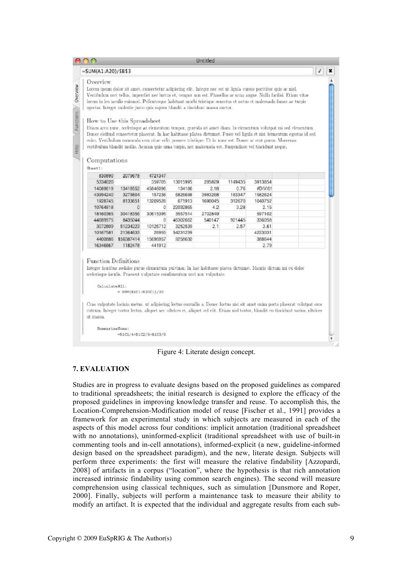| $-SUM(A1:A20)/SB53$                                                                                                                      |                        |                   |          |         |         |                                                                                                                                                                                                                                                                                                                                                                                                                                                                                                                                                                                                                                                                                                                                                                                                                                          | √ |
|------------------------------------------------------------------------------------------------------------------------------------------|------------------------|-------------------|----------|---------|---------|------------------------------------------------------------------------------------------------------------------------------------------------------------------------------------------------------------------------------------------------------------------------------------------------------------------------------------------------------------------------------------------------------------------------------------------------------------------------------------------------------------------------------------------------------------------------------------------------------------------------------------------------------------------------------------------------------------------------------------------------------------------------------------------------------------------------------------------|---|
| Overview<br>egestas. Integer molestie justo quis sapien blandit a tincidunt massa auctor.<br>How to Use this Spreadsheet<br>Computations |                        |                   |          |         |         | Lorem ipsum dolor sit amet, consectetur adipiscing elit. Integer nec est ut ligula cursus porttitor quis ac nisl.<br>Vestibulum orci tellus, imperdiet nec luctus et, tempor non est. Phasellus ac urna augue. Nulla facilisi. Etiam vitae<br>lorem in leo iaculis euismod. Pellentesque habitant morbi tristique senectus et netus et malesuada fames ac turpis<br>Etiam arcu nunc, scelerisque at elementum tempor, gravida sit amet diam. In elementum volutpat mi sed elementum,<br>Donec eleifend consectetur placerat. In hac habitasse platea dictumst. Fusce vel ligula et nisi fermentum egestas id sed<br>enim, Vestibulum commodo sem vitae velit posuere tristique. Ut in nunc est. Donec ac erat purus. Maecenas<br>vestibulum blandit mollis. Aencan quis urna turpis, nec malesuada est. Suspendisse vel tincidunt neque, |   |
| Sheat!:                                                                                                                                  |                        |                   |          |         |         |                                                                                                                                                                                                                                                                                                                                                                                                                                                                                                                                                                                                                                                                                                                                                                                                                                          |   |
| 830890<br>5334620                                                                                                                        | 2079678                | 4721347<br>359705 | 13015995 | 285829  | 1149435 | 3913854                                                                                                                                                                                                                                                                                                                                                                                                                                                                                                                                                                                                                                                                                                                                                                                                                                  |   |
|                                                                                                                                          |                        |                   |          |         |         |                                                                                                                                                                                                                                                                                                                                                                                                                                                                                                                                                                                                                                                                                                                                                                                                                                          |   |
| 14089619                                                                                                                                 | 13418552               | 45846096          | 134186   | 2.18    | 0.76    | #DIV/01                                                                                                                                                                                                                                                                                                                                                                                                                                                                                                                                                                                                                                                                                                                                                                                                                                  |   |
| 43994240                                                                                                                                 | 3279804                | 157236            | 6826698  | 3983268 | 183347  | 1582624                                                                                                                                                                                                                                                                                                                                                                                                                                                                                                                                                                                                                                                                                                                                                                                                                                  |   |
| 1928745                                                                                                                                  | 8133651                | 13209526          | 671913   | 1690045 | 312670  | 1040752                                                                                                                                                                                                                                                                                                                                                                                                                                                                                                                                                                                                                                                                                                                                                                                                                                  |   |
| 10764818                                                                                                                                 | O.                     | $\Omega$          | 22032865 | 4.2     | 3.28    | 2.15                                                                                                                                                                                                                                                                                                                                                                                                                                                                                                                                                                                                                                                                                                                                                                                                                                     |   |
| 18160365                                                                                                                                 | 30418356               | 30615395          | 3557514  | 2702849 |         | 597102                                                                                                                                                                                                                                                                                                                                                                                                                                                                                                                                                                                                                                                                                                                                                                                                                                   |   |
| 44689975                                                                                                                                 | 8435044                | n.                | 46302662 | 540147  | 921445  | 336058                                                                                                                                                                                                                                                                                                                                                                                                                                                                                                                                                                                                                                                                                                                                                                                                                                   |   |
| 3072809                                                                                                                                  | 51234223               | 10126712          | 3252539  | 2.1     | 2.57    | 3.61                                                                                                                                                                                                                                                                                                                                                                                                                                                                                                                                                                                                                                                                                                                                                                                                                                     |   |
| 10167581                                                                                                                                 | 21364633               | 26955             | 54231239 |         |         | 4223031                                                                                                                                                                                                                                                                                                                                                                                                                                                                                                                                                                                                                                                                                                                                                                                                                                  |   |
|                                                                                                                                          | 4400886 156387414      | 15696957          | 9258630  |         |         | 388644                                                                                                                                                                                                                                                                                                                                                                                                                                                                                                                                                                                                                                                                                                                                                                                                                                   |   |
| 16346667                                                                                                                                 | 1182478                | 441912            |          |         |         | 2.79                                                                                                                                                                                                                                                                                                                                                                                                                                                                                                                                                                                                                                                                                                                                                                                                                                     |   |
| <b>Function Definitions</b><br>scelerisque iaculis. Praesent vulputate condimentum orci non vulputate.<br>CalculateAll:                  | $=$ SUM(RICI:R2OC1)/20 |                   |          |         |         | Integer faucibus sodales purus elementum pulvinar. In hac habitasse platea dictumst. Mauris dictum mi eu dolor                                                                                                                                                                                                                                                                                                                                                                                                                                                                                                                                                                                                                                                                                                                           |   |
| Uf IDassa.                                                                                                                               |                        |                   |          |         |         | Cras vulputate lacinia metus, ut adipiscing lectus convallis a. Donec luctus nisi sit amet enim porta placerat volutpat eros<br>rutrum. Integer tortor lectus, aliquet nec ultrices et, aliquet vel elit. Etiam nisl tortor, blandit eu tincidunt varius, ultrices                                                                                                                                                                                                                                                                                                                                                                                                                                                                                                                                                                       |   |
| SunmarizeSome:                                                                                                                           |                        |                   |          |         |         |                                                                                                                                                                                                                                                                                                                                                                                                                                                                                                                                                                                                                                                                                                                                                                                                                                          |   |

Figure 4: Literate design concept.

## 7. EVALUATION

Studies are in progress to evaluate designs based on the proposed guidelines as compared to traditional spreadsheets; the initial research is designed to explore the efficacy of the proposed guidelines in improving knowledge transfer and reuse. To accomplish this, the Location-Comprehension-Modification model of reuse [Fischer et al., 1991] provides a framework for an experimental study in which subjects are measured in each of the aspects of this model across four conditions: implicit annotation (traditional spreadsheet with no annotations), uninformed-explicit (traditional spreadsheet with use of built-in commenting tools and in-cell annotations), informed-explicit (a new, guideline-informed design based on the spreadsheet paradigm), and the new, literate design. Subjects will perform three experiments: the first will measure the relative findability [Azzopardi, 2008] of artifacts in a corpus ("location", where the hypothesis is that rich annotation increased intrinsic findability using common search engines). The second will measure comprehension using classical techniques, such as simulation [Dunsmore and Roper, 2000]. Finally, subjects will perform a maintenance task to measure their ability to modify an artifact. It is expected that the individual and aggregate results from each sub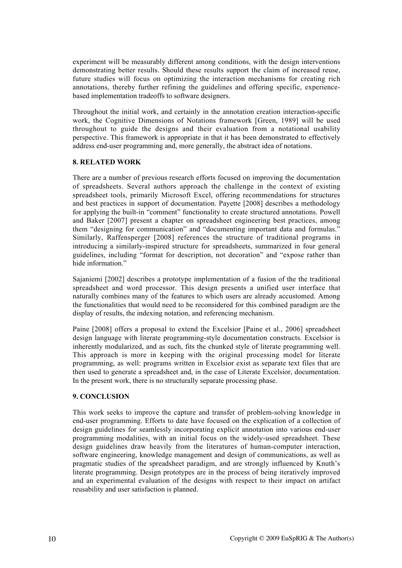experiment will be measurably different among conditions, with the design interventions demonstrating better results. Should these results support the claim of increased reuse, future studies will focus on optimizing the interaction mechanisms for creating rich annotations, thereby further refining the guidelines and offering specific, experiencebased implementation tradeoffs to software designers.

Throughout the initial work, and certainly in the annotation creation interaction-specific work, the Cognitive Dimensions of Notations framework [Green, 1989] will be used throughout to guide the designs and their evaluation from a notational usability perspective. This framework is appropriate in that it has been demonstrated to effectively address end-user programming and, more generally, the abstract idea of notations.

## 8. RELATED WORK

There are a number of previous research efforts focused on improving the documentation of spreadsheets. Several authors approach the challenge in the context of existing spreadsheet tools, primarily Microsoft Excel, offering recommendations for structures and best practices in support of documentation. Payette [2008] describes a methodology for applying the built-in "comment" functionality to create structured annotations. Powell and Baker [2007] present a chapter on spreadsheet engineering best practices, among them "designing for communication" and "documenting important data and formulas." Similarly, Raffensperger [2008] references the structure of traditional programs in introducing a similarly-inspired structure for spreadsheets, summarized in four general guidelines, including "format for description, not decoration" and "expose rather than hide information."

Sajaniemi [2002] describes a prototype implementation of a fusion of the the traditional spreadsheet and word processor. This design presents a unified user interface that naturally combines many of the features to which users are already accustomed. Among the functionalities that would need to be reconsidered for this combined paradigm are the display of results, the indexing notation, and referencing mechanism.

Paine [2008] offers a proposal to extend the Excelsior [Paine et al., 2006] spreadsheet design language with literate programming-style documentation constructs. Excelsior is inherently modularized, and as such, fits the chunked style of literate programming well. This approach is more in keeping with the original processing model for literate programming, as well: programs written in Excelsior exist as separate text files that are then used to generate a spreadsheet and, in the case of Literate Excelsior, documentation. In the present work, there is no structurally separate processing phase.

## 9. CONCLUSION

This work seeks to improve the capture and transfer of problem-solving knowledge in end-user programming. Efforts to date have focused on the explication of a collection of design guidelines for seamlessly incorporating explicit annotation into various end-user programming modalities, with an initial focus on the widely-used spreadsheet. These design guidelines draw heavily from the literatures of human-computer interaction, software engineering, knowledge management and design of communications, as well as pragmatic studies of the spreadsheet paradigm, and are strongly influenced by Knuth's literate programming. Design prototypes are in the process of being iteratively improved and an experimental evaluation of the designs with respect to their impact on artifact reusability and user satisfaction is planned.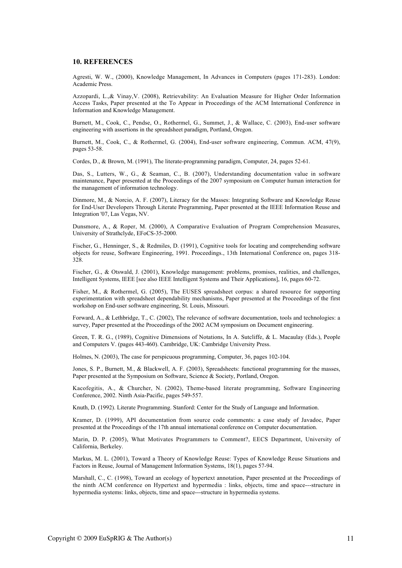#### 10. REFERENCES

Agresti, W. W., (2000), Knowledge Management, In Advances in Computers (pages 171-283). London: Academic Press.

Azzopardi, L.,& Vinay,V. (2008), Retrievability: An Evaluation Measure for Higher Order Information Access Tasks, Paper presented at the To Appear in Proceedings of the ACM International Conference in Information and Knowledge Management.

Burnett, M., Cook, C., Pendse, O., Rothermel, G., Summet, J., & Wallace, C. (2003), End-user software engineering with assertions in the spreadsheet paradigm, Portland, Oregon.

Burnett, M., Cook, C., & Rothermel, G. (2004), End-user software engineering, Commun. ACM, 47(9), pages 53-58.

Cordes, D., & Brown, M. (1991), The literate-programming paradigm, Computer, 24, pages 52-61.

Das, S., Lutters, W., G., & Seaman, C., B. (2007), Understanding documentation value in software maintenance, Paper presented at the Proceedings of the 2007 symposium on Computer human interaction for the management of information technology.

Dinmore, M., & Norcio, A. F. (2007), Literacy for the Masses: Integrating Software and Knowledge Reuse for End-User Developers Through Literate Programming, Paper presented at the IEEE Information Reuse and Integration '07, Las Vegas, NV.

Dunsmore, A., & Roper, M. (2000), A Comparative Evaluation of Program Comprehension Measures, University of Strathclyde, EFoCS-35-2000.

Fischer, G., Henninger, S., & Redmiles, D. (1991), Cognitive tools for locating and comprehending software objects for reuse, Software Engineering, 1991. Proceedings., 13th International Conference on, pages 318- 328.

Fischer, G., & Otswald, J. (2001), Knowledge management: problems, promises, realities, and challenges, Intelligent Systems, IEEE [see also IEEE Intelligent Systems and Their Applications], 16, pages 60-72.

Fisher, M., & Rothermel, G. (2005), The EUSES spreadsheet corpus: a shared resource for supporting experimentation with spreadsheet dependability mechanisms, Paper presented at the Proceedings of the first workshop on End-user software engineering, St. Louis, Missouri.

Forward, A., & Lethbridge, T., C. (2002), The relevance of software documentation, tools and technologies: a survey, Paper presented at the Proceedings of the 2002 ACM symposium on Document engineering.

Green, T. R. G., (1989), Cognitive Dimensions of Notations, In A. Sutcliffe, & L. Macaulay (Eds.), People and Computers V. (pages 443-460). Cambridge, UK: Cambridge University Press.

Holmes, N. (2003), The case for perspicuous programming, Computer, 36, pages 102-104.

Jones, S. P., Burnett, M., & Blackwell, A. F. (2003), Spreadsheets: functional programming for the masses, Paper presented at the Symposium on Software, Science & Society, Portland, Oregon.

Kacofegitis, A., & Churcher, N. (2002), Theme-based literate programming, Software Engineering Conference, 2002. Ninth Asia-Pacific, pages 549-557.

Knuth, D. (1992). Literate Programming. Stanford: Center for the Study of Language and Information.

Kramer, D. (1999), API documentation from source code comments: a case study of Javadoc, Paper presented at the Proceedings of the 17th annual international conference on Computer documentation.

Marin, D. P. (2005), What Motivates Programmers to Comment?, EECS Department, University of California, Berkeley.

Markus, M. L. (2001), Toward a Theory of Knowledge Reuse: Types of Knowledge Reuse Situations and Factors in Reuse, Journal of Management Information Systems, 18(1), pages 57-94.

Marshall, C., C. (1998), Toward an ecology of hypertext annotation, Paper presented at the Proceedings of the ninth ACM conference on Hypertext and hypermedia : links, objects, time and space---structure in hypermedia systems: links, objects, time and space---structure in hypermedia systems.